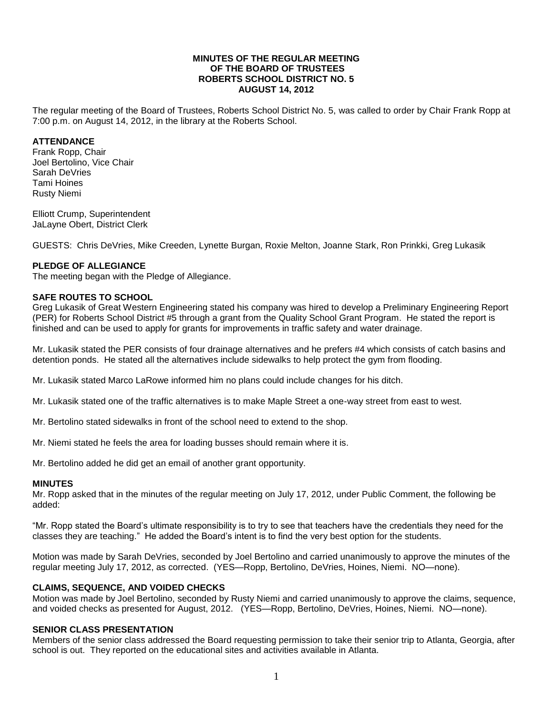### **MINUTES OF THE REGULAR MEETING OF THE BOARD OF TRUSTEES ROBERTS SCHOOL DISTRICT NO. 5 AUGUST 14, 2012**

The regular meeting of the Board of Trustees, Roberts School District No. 5, was called to order by Chair Frank Ropp at 7:00 p.m. on August 14, 2012, in the library at the Roberts School.

### **ATTENDANCE**

Frank Ropp, Chair Joel Bertolino, Vice Chair Sarah DeVries Tami Hoines Rusty Niemi

Elliott Crump, Superintendent JaLayne Obert, District Clerk

GUESTS: Chris DeVries, Mike Creeden, Lynette Burgan, Roxie Melton, Joanne Stark, Ron Prinkki, Greg Lukasik

### **PLEDGE OF ALLEGIANCE**

The meeting began with the Pledge of Allegiance.

#### **SAFE ROUTES TO SCHOOL**

Greg Lukasik of Great Western Engineering stated his company was hired to develop a Preliminary Engineering Report (PER) for Roberts School District #5 through a grant from the Quality School Grant Program. He stated the report is finished and can be used to apply for grants for improvements in traffic safety and water drainage.

Mr. Lukasik stated the PER consists of four drainage alternatives and he prefers #4 which consists of catch basins and detention ponds. He stated all the alternatives include sidewalks to help protect the gym from flooding.

Mr. Lukasik stated Marco LaRowe informed him no plans could include changes for his ditch.

Mr. Lukasik stated one of the traffic alternatives is to make Maple Street a one-way street from east to west.

Mr. Bertolino stated sidewalks in front of the school need to extend to the shop.

Mr. Niemi stated he feels the area for loading busses should remain where it is.

Mr. Bertolino added he did get an email of another grant opportunity.

#### **MINUTES**

Mr. Ropp asked that in the minutes of the regular meeting on July 17, 2012, under Public Comment, the following be added:

"Mr. Ropp stated the Board's ultimate responsibility is to try to see that teachers have the credentials they need for the classes they are teaching." He added the Board's intent is to find the very best option for the students.

Motion was made by Sarah DeVries, seconded by Joel Bertolino and carried unanimously to approve the minutes of the regular meeting July 17, 2012, as corrected. (YES—Ropp, Bertolino, DeVries, Hoines, Niemi. NO—none).

## **CLAIMS, SEQUENCE, AND VOIDED CHECKS**

Motion was made by Joel Bertolino, seconded by Rusty Niemi and carried unanimously to approve the claims, sequence, and voided checks as presented for August, 2012. (YES—Ropp, Bertolino, DeVries, Hoines, Niemi. NO—none).

#### **SENIOR CLASS PRESENTATION**

Members of the senior class addressed the Board requesting permission to take their senior trip to Atlanta, Georgia, after school is out. They reported on the educational sites and activities available in Atlanta.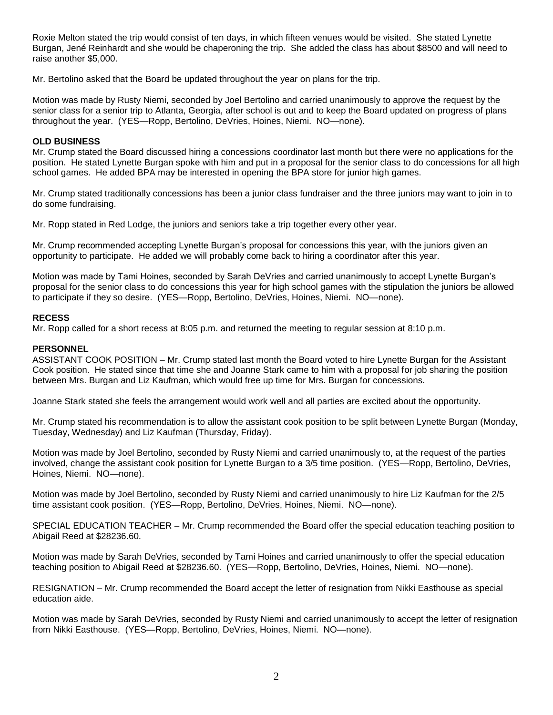Roxie Melton stated the trip would consist of ten days, in which fifteen venues would be visited. She stated Lynette Burgan, Jené Reinhardt and she would be chaperoning the trip. She added the class has about \$8500 and will need to raise another \$5,000.

Mr. Bertolino asked that the Board be updated throughout the year on plans for the trip.

Motion was made by Rusty Niemi, seconded by Joel Bertolino and carried unanimously to approve the request by the senior class for a senior trip to Atlanta, Georgia, after school is out and to keep the Board updated on progress of plans throughout the year. (YES—Ropp, Bertolino, DeVries, Hoines, Niemi. NO—none).

## **OLD BUSINESS**

Mr. Crump stated the Board discussed hiring a concessions coordinator last month but there were no applications for the position. He stated Lynette Burgan spoke with him and put in a proposal for the senior class to do concessions for all high school games. He added BPA may be interested in opening the BPA store for junior high games.

Mr. Crump stated traditionally concessions has been a junior class fundraiser and the three juniors may want to join in to do some fundraising.

Mr. Ropp stated in Red Lodge, the juniors and seniors take a trip together every other year.

Mr. Crump recommended accepting Lynette Burgan's proposal for concessions this year, with the juniors given an opportunity to participate. He added we will probably come back to hiring a coordinator after this year.

Motion was made by Tami Hoines, seconded by Sarah DeVries and carried unanimously to accept Lynette Burgan's proposal for the senior class to do concessions this year for high school games with the stipulation the juniors be allowed to participate if they so desire. (YES—Ropp, Bertolino, DeVries, Hoines, Niemi. NO—none).

# **RECESS**

Mr. Ropp called for a short recess at 8:05 p.m. and returned the meeting to regular session at 8:10 p.m.

#### **PERSONNEL**

ASSISTANT COOK POSITION – Mr. Crump stated last month the Board voted to hire Lynette Burgan for the Assistant Cook position. He stated since that time she and Joanne Stark came to him with a proposal for job sharing the position between Mrs. Burgan and Liz Kaufman, which would free up time for Mrs. Burgan for concessions.

Joanne Stark stated she feels the arrangement would work well and all parties are excited about the opportunity.

Mr. Crump stated his recommendation is to allow the assistant cook position to be split between Lynette Burgan (Monday, Tuesday, Wednesday) and Liz Kaufman (Thursday, Friday).

Motion was made by Joel Bertolino, seconded by Rusty Niemi and carried unanimously to, at the request of the parties involved, change the assistant cook position for Lynette Burgan to a 3/5 time position. (YES—Ropp, Bertolino, DeVries, Hoines, Niemi. NO—none).

Motion was made by Joel Bertolino, seconded by Rusty Niemi and carried unanimously to hire Liz Kaufman for the 2/5 time assistant cook position. (YES—Ropp, Bertolino, DeVries, Hoines, Niemi. NO—none).

SPECIAL EDUCATION TEACHER – Mr. Crump recommended the Board offer the special education teaching position to Abigail Reed at \$28236.60.

Motion was made by Sarah DeVries, seconded by Tami Hoines and carried unanimously to offer the special education teaching position to Abigail Reed at \$28236.60. (YES—Ropp, Bertolino, DeVries, Hoines, Niemi. NO—none).

RESIGNATION – Mr. Crump recommended the Board accept the letter of resignation from Nikki Easthouse as special education aide.

Motion was made by Sarah DeVries, seconded by Rusty Niemi and carried unanimously to accept the letter of resignation from Nikki Easthouse. (YES—Ropp, Bertolino, DeVries, Hoines, Niemi. NO—none).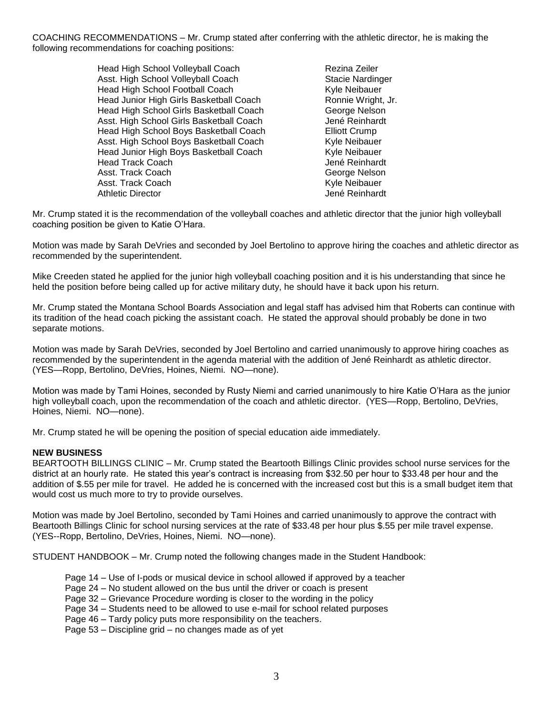COACHING RECOMMENDATIONS – Mr. Crump stated after conferring with the athletic director, he is making the following recommendations for coaching positions:

> Head High School Volleyball Coach Rezina Zeiler Asst. High School Volleyball Coach<br>
> Head High School Football Coach<br>
> Stacie New Style Neibauer Head High School Football Coach Head Junior High Girls Basketball Coach Ronnie Wright, Jr. Head High School Girls Basketball Coach George Nelson<br>Asst. High School Girls Basketball Coach George Mené Reinhardt Asst. High School Girls Basketball Coach Head High School Boys Basketball Coach Elliott Crump Asst. High School Boys Basketball Coach Kyle Neibauer Head Junior High Boys Basketball Coach Kyle Neibauer Head Track Coach Jené Reinhardt Asst. Track Coach George Nelson Asst. Track Coach **Kyle Neibauer** Kyle Neibauer Athletic Director **Athletic Director** Athletic Director

Mr. Crump stated it is the recommendation of the volleyball coaches and athletic director that the junior high volleyball coaching position be given to Katie O'Hara.

Motion was made by Sarah DeVries and seconded by Joel Bertolino to approve hiring the coaches and athletic director as recommended by the superintendent.

Mike Creeden stated he applied for the junior high volleyball coaching position and it is his understanding that since he held the position before being called up for active military duty, he should have it back upon his return.

Mr. Crump stated the Montana School Boards Association and legal staff has advised him that Roberts can continue with its tradition of the head coach picking the assistant coach. He stated the approval should probably be done in two separate motions.

Motion was made by Sarah DeVries, seconded by Joel Bertolino and carried unanimously to approve hiring coaches as recommended by the superintendent in the agenda material with the addition of Jené Reinhardt as athletic director. (YES—Ropp, Bertolino, DeVries, Hoines, Niemi. NO—none).

Motion was made by Tami Hoines, seconded by Rusty Niemi and carried unanimously to hire Katie O'Hara as the junior high volleyball coach, upon the recommendation of the coach and athletic director. (YES—Ropp, Bertolino, DeVries, Hoines, Niemi. NO—none).

Mr. Crump stated he will be opening the position of special education aide immediately.

### **NEW BUSINESS**

BEARTOOTH BILLINGS CLINIC – Mr. Crump stated the Beartooth Billings Clinic provides school nurse services for the district at an hourly rate. He stated this year's contract is increasing from \$32.50 per hour to \$33.48 per hour and the addition of \$.55 per mile for travel. He added he is concerned with the increased cost but this is a small budget item that would cost us much more to try to provide ourselves.

Motion was made by Joel Bertolino, seconded by Tami Hoines and carried unanimously to approve the contract with Beartooth Billings Clinic for school nursing services at the rate of \$33.48 per hour plus \$.55 per mile travel expense. (YES--Ropp, Bertolino, DeVries, Hoines, Niemi. NO—none).

STUDENT HANDBOOK – Mr. Crump noted the following changes made in the Student Handbook:

- Page 14 Use of I-pods or musical device in school allowed if approved by a teacher
- Page 24 No student allowed on the bus until the driver or coach is present
- Page 32 Grievance Procedure wording is closer to the wording in the policy
- Page 34 Students need to be allowed to use e-mail for school related purposes
- Page 46 Tardy policy puts more responsibility on the teachers.
- Page 53 Discipline grid no changes made as of yet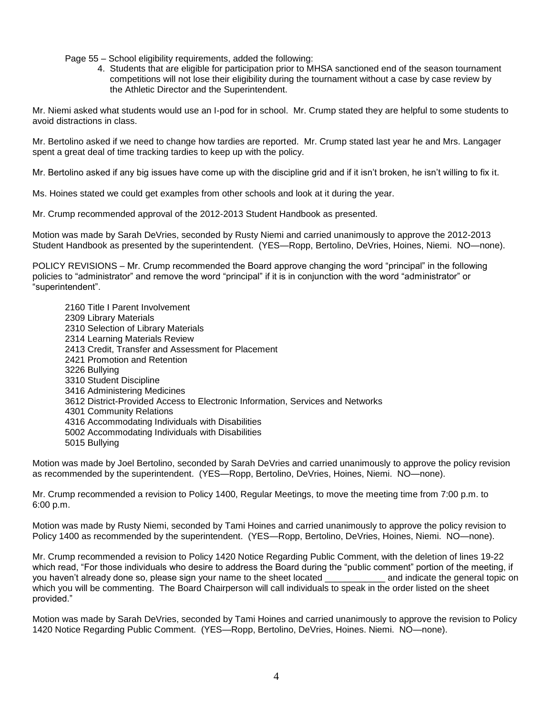Page 55 – School eligibility requirements, added the following:

4. Students that are eligible for participation prior to MHSA sanctioned end of the season tournament competitions will not lose their eligibility during the tournament without a case by case review by the Athletic Director and the Superintendent.

Mr. Niemi asked what students would use an I-pod for in school. Mr. Crump stated they are helpful to some students to avoid distractions in class.

Mr. Bertolino asked if we need to change how tardies are reported. Mr. Crump stated last year he and Mrs. Langager spent a great deal of time tracking tardies to keep up with the policy.

Mr. Bertolino asked if any big issues have come up with the discipline grid and if it isn't broken, he isn't willing to fix it.

Ms. Hoines stated we could get examples from other schools and look at it during the year.

Mr. Crump recommended approval of the 2012-2013 Student Handbook as presented.

Motion was made by Sarah DeVries, seconded by Rusty Niemi and carried unanimously to approve the 2012-2013 Student Handbook as presented by the superintendent. (YES—Ropp, Bertolino, DeVries, Hoines, Niemi. NO—none).

POLICY REVISIONS – Mr. Crump recommended the Board approve changing the word "principal" in the following policies to "administrator" and remove the word "principal" if it is in conjunction with the word "administrator" or "superintendent".

2160 Title I Parent Involvement 2309 Library Materials 2310 Selection of Library Materials 2314 Learning Materials Review 2413 Credit, Transfer and Assessment for Placement 2421 Promotion and Retention 3226 Bullying 3310 Student Discipline 3416 Administering Medicines 3612 District-Provided Access to Electronic Information, Services and Networks 4301 Community Relations 4316 Accommodating Individuals with Disabilities 5002 Accommodating Individuals with Disabilities 5015 Bullying

Motion was made by Joel Bertolino, seconded by Sarah DeVries and carried unanimously to approve the policy revision as recommended by the superintendent. (YES—Ropp, Bertolino, DeVries, Hoines, Niemi. NO—none).

Mr. Crump recommended a revision to Policy 1400, Regular Meetings, to move the meeting time from 7:00 p.m. to 6:00 p.m.

Motion was made by Rusty Niemi, seconded by Tami Hoines and carried unanimously to approve the policy revision to Policy 1400 as recommended by the superintendent. (YES—Ropp, Bertolino, DeVries, Hoines, Niemi. NO—none).

Mr. Crump recommended a revision to Policy 1420 Notice Regarding Public Comment, with the deletion of lines 19-22 which read, "For those individuals who desire to address the Board during the "public comment" portion of the meeting, if you haven't already done so, please sign your name to the sheet located \_\_\_\_\_\_\_\_\_\_\_\_ and indicate the general topic on which you will be commenting. The Board Chairperson will call individuals to speak in the order listed on the sheet provided."

Motion was made by Sarah DeVries, seconded by Tami Hoines and carried unanimously to approve the revision to Policy 1420 Notice Regarding Public Comment. (YES—Ropp, Bertolino, DeVries, Hoines. Niemi. NO—none).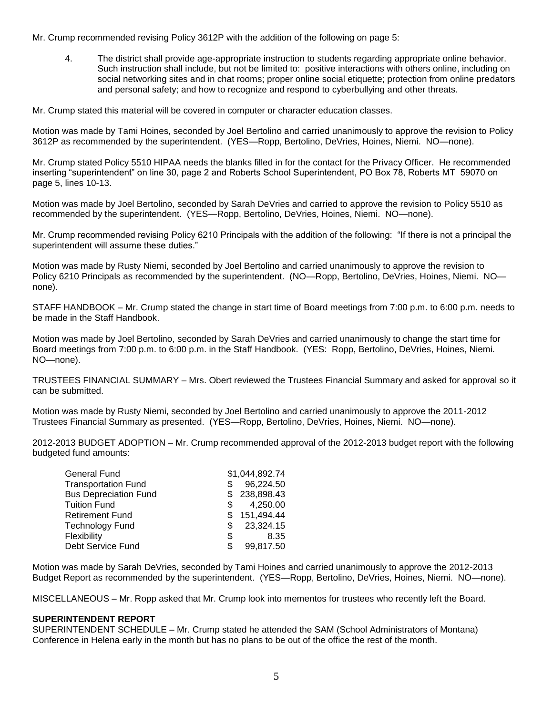Mr. Crump recommended revising Policy 3612P with the addition of the following on page 5:

4. The district shall provide age-appropriate instruction to students regarding appropriate online behavior. Such instruction shall include, but not be limited to: positive interactions with others online, including on social networking sites and in chat rooms; proper online social etiquette; protection from online predators and personal safety; and how to recognize and respond to cyberbullying and other threats.

Mr. Crump stated this material will be covered in computer or character education classes.

Motion was made by Tami Hoines, seconded by Joel Bertolino and carried unanimously to approve the revision to Policy 3612P as recommended by the superintendent. (YES—Ropp, Bertolino, DeVries, Hoines, Niemi. NO—none).

Mr. Crump stated Policy 5510 HIPAA needs the blanks filled in for the contact for the Privacy Officer. He recommended inserting "superintendent" on line 30, page 2 and Roberts School Superintendent, PO Box 78, Roberts MT 59070 on page 5, lines 10-13.

Motion was made by Joel Bertolino, seconded by Sarah DeVries and carried to approve the revision to Policy 5510 as recommended by the superintendent. (YES—Ropp, Bertolino, DeVries, Hoines, Niemi. NO—none).

Mr. Crump recommended revising Policy 6210 Principals with the addition of the following: "If there is not a principal the superintendent will assume these duties."

Motion was made by Rusty Niemi, seconded by Joel Bertolino and carried unanimously to approve the revision to Policy 6210 Principals as recommended by the superintendent. (NO—Ropp, Bertolino, DeVries, Hoines, Niemi. NO none).

STAFF HANDBOOK – Mr. Crump stated the change in start time of Board meetings from 7:00 p.m. to 6:00 p.m. needs to be made in the Staff Handbook.

Motion was made by Joel Bertolino, seconded by Sarah DeVries and carried unanimously to change the start time for Board meetings from 7:00 p.m. to 6:00 p.m. in the Staff Handbook. (YES: Ropp, Bertolino, DeVries, Hoines, Niemi. NO—none).

TRUSTEES FINANCIAL SUMMARY – Mrs. Obert reviewed the Trustees Financial Summary and asked for approval so it can be submitted.

Motion was made by Rusty Niemi, seconded by Joel Bertolino and carried unanimously to approve the 2011-2012 Trustees Financial Summary as presented. (YES—Ropp, Bertolino, DeVries, Hoines, Niemi. NO—none).

2012-2013 BUDGET ADOPTION – Mr. Crump recommended approval of the 2012-2013 budget report with the following budgeted fund amounts:

| <b>General Fund</b>          |     | \$1,044,892.74 |
|------------------------------|-----|----------------|
| <b>Transportation Fund</b>   |     | 96,224.50      |
| <b>Bus Depreciation Fund</b> |     | \$238,898.43   |
| <b>Tuition Fund</b>          | S.  | 4,250.00       |
| <b>Retirement Fund</b>       | S   | 151,494.44     |
| <b>Technology Fund</b>       | S   | 23,324.15      |
| Flexibility                  | S   | 8.35           |
| Debt Service Fund            | \$. | 99,817.50      |

Motion was made by Sarah DeVries, seconded by Tami Hoines and carried unanimously to approve the 2012-2013 Budget Report as recommended by the superintendent. (YES—Ropp, Bertolino, DeVries, Hoines, Niemi. NO—none).

MISCELLANEOUS – Mr. Ropp asked that Mr. Crump look into mementos for trustees who recently left the Board.

### **SUPERINTENDENT REPORT**

SUPERINTENDENT SCHEDULE – Mr. Crump stated he attended the SAM (School Administrators of Montana) Conference in Helena early in the month but has no plans to be out of the office the rest of the month.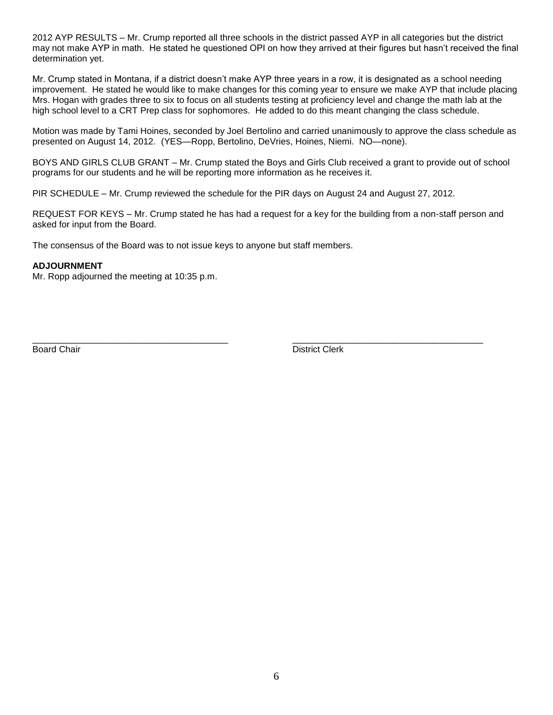2012 AYP RESULTS – Mr. Crump reported all three schools in the district passed AYP in all categories but the district may not make AYP in math. He stated he questioned OPI on how they arrived at their figures but hasn't received the final determination yet.

Mr. Crump stated in Montana, if a district doesn't make AYP three years in a row, it is designated as a school needing improvement. He stated he would like to make changes for this coming year to ensure we make AYP that include placing Mrs. Hogan with grades three to six to focus on all students testing at proficiency level and change the math lab at the high school level to a CRT Prep class for sophomores. He added to do this meant changing the class schedule.

Motion was made by Tami Hoines, seconded by Joel Bertolino and carried unanimously to approve the class schedule as presented on August 14, 2012. (YES—Ropp, Bertolino, DeVries, Hoines, Niemi. NO—none).

BOYS AND GIRLS CLUB GRANT – Mr. Crump stated the Boys and Girls Club received a grant to provide out of school programs for our students and he will be reporting more information as he receives it.

PIR SCHEDULE – Mr. Crump reviewed the schedule for the PIR days on August 24 and August 27, 2012.

REQUEST FOR KEYS – Mr. Crump stated he has had a request for a key for the building from a non-staff person and asked for input from the Board.

The consensus of the Board was to not issue keys to anyone but staff members.

#### **ADJOURNMENT**

Mr. Ropp adjourned the meeting at 10:35 p.m.

\_\_\_\_\_\_\_\_\_\_\_\_\_\_\_\_\_\_\_\_\_\_\_\_\_\_\_\_\_\_\_\_\_\_\_\_\_\_\_ \_\_\_\_\_\_\_\_\_\_\_\_\_\_\_\_\_\_\_\_\_\_\_\_\_\_\_\_\_\_\_\_\_\_\_\_\_\_

Board Chair **District Clerk**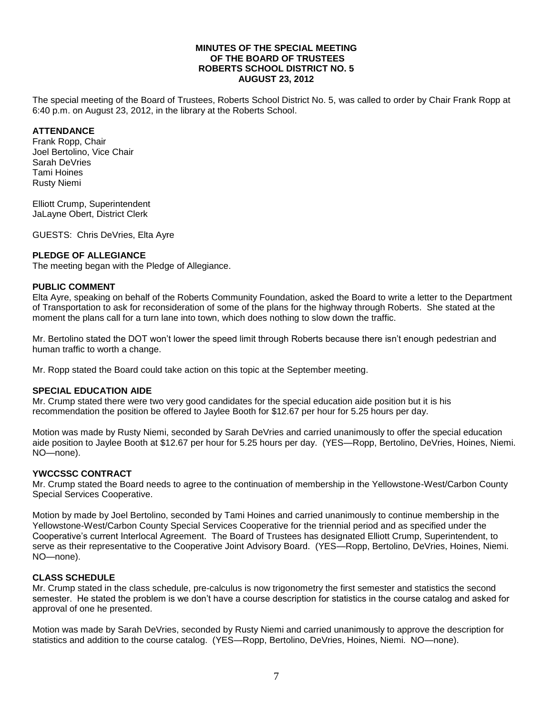### **MINUTES OF THE SPECIAL MEETING OF THE BOARD OF TRUSTEES ROBERTS SCHOOL DISTRICT NO. 5 AUGUST 23, 2012**

The special meeting of the Board of Trustees, Roberts School District No. 5, was called to order by Chair Frank Ropp at 6:40 p.m. on August 23, 2012, in the library at the Roberts School.

## **ATTENDANCE**

Frank Ropp, Chair Joel Bertolino, Vice Chair Sarah DeVries Tami Hoines Rusty Niemi

Elliott Crump, Superintendent JaLayne Obert, District Clerk

GUESTS: Chris DeVries, Elta Ayre

## **PLEDGE OF ALLEGIANCE**

The meeting began with the Pledge of Allegiance.

### **PUBLIC COMMENT**

Elta Ayre, speaking on behalf of the Roberts Community Foundation, asked the Board to write a letter to the Department of Transportation to ask for reconsideration of some of the plans for the highway through Roberts. She stated at the moment the plans call for a turn lane into town, which does nothing to slow down the traffic.

Mr. Bertolino stated the DOT won't lower the speed limit through Roberts because there isn't enough pedestrian and human traffic to worth a change.

Mr. Ropp stated the Board could take action on this topic at the September meeting.

### **SPECIAL EDUCATION AIDE**

Mr. Crump stated there were two very good candidates for the special education aide position but it is his recommendation the position be offered to Jaylee Booth for \$12.67 per hour for 5.25 hours per day.

Motion was made by Rusty Niemi, seconded by Sarah DeVries and carried unanimously to offer the special education aide position to Jaylee Booth at \$12.67 per hour for 5.25 hours per day. (YES—Ropp, Bertolino, DeVries, Hoines, Niemi. NO—none).

### **YWCCSSC CONTRACT**

Mr. Crump stated the Board needs to agree to the continuation of membership in the Yellowstone-West/Carbon County Special Services Cooperative.

Motion by made by Joel Bertolino, seconded by Tami Hoines and carried unanimously to continue membership in the Yellowstone-West/Carbon County Special Services Cooperative for the triennial period and as specified under the Cooperative's current Interlocal Agreement. The Board of Trustees has designated Elliott Crump, Superintendent, to serve as their representative to the Cooperative Joint Advisory Board. (YES—Ropp, Bertolino, DeVries, Hoines, Niemi. NO—none).

## **CLASS SCHEDULE**

Mr. Crump stated in the class schedule, pre-calculus is now trigonometry the first semester and statistics the second semester. He stated the problem is we don't have a course description for statistics in the course catalog and asked for approval of one he presented.

Motion was made by Sarah DeVries, seconded by Rusty Niemi and carried unanimously to approve the description for statistics and addition to the course catalog. (YES—Ropp, Bertolino, DeVries, Hoines, Niemi. NO—none).